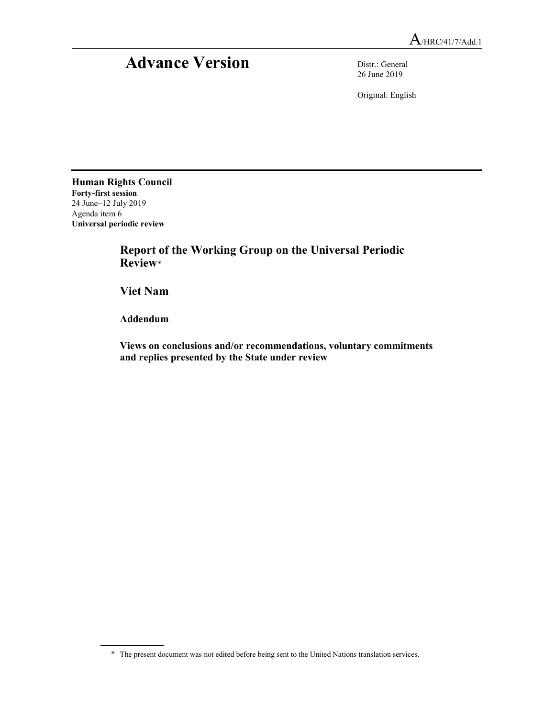## Advance Version Distr.: General

26 June 2019

Original: English

Human Rights Council Forty-first session 24 June–12 July 2019 Agenda item 6 Universal periodic review

 Report of the Working Group on the Universal Periodic Review\*

Viet Nam

Addendum

 Views on conclusions and/or recommendations, voluntary commitments and replies presented by the State under review

<sup>\*</sup> The present document was not edited before being sent to the United Nations translation services.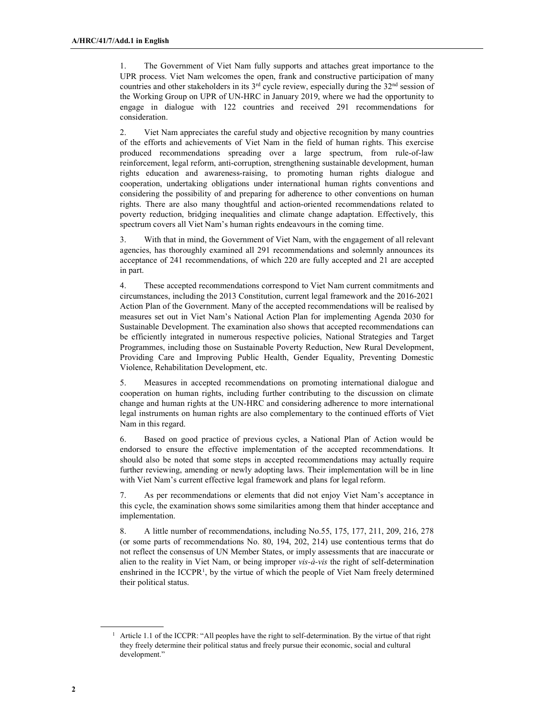1. The Government of Viet Nam fully supports and attaches great importance to the UPR process. Viet Nam welcomes the open, frank and constructive participation of many countries and other stakeholders in its  $3<sup>rd</sup>$  cycle review, especially during the  $32<sup>nd</sup>$  session of the Working Group on UPR of UN-HRC in January 2019, where we had the opportunity to engage in dialogue with 122 countries and received 291 recommendations for consideration.

2. Viet Nam appreciates the careful study and objective recognition by many countries of the efforts and achievements of Viet Nam in the field of human rights. This exercise produced recommendations spreading over a large spectrum, from rule-of-law reinforcement, legal reform, anti-corruption, strengthening sustainable development, human rights education and awareness-raising, to promoting human rights dialogue and cooperation, undertaking obligations under international human rights conventions and considering the possibility of and preparing for adherence to other conventions on human rights. There are also many thoughtful and action-oriented recommendations related to poverty reduction, bridging inequalities and climate change adaptation. Effectively, this spectrum covers all Viet Nam's human rights endeavours in the coming time.

3. With that in mind, the Government of Viet Nam, with the engagement of all relevant agencies, has thoroughly examined all 291 recommendations and solemnly announces its acceptance of 241 recommendations, of which 220 are fully accepted and 21 are accepted in part.

4. These accepted recommendations correspond to Viet Nam current commitments and circumstances, including the 2013 Constitution, current legal framework and the 2016-2021 Action Plan of the Government. Many of the accepted recommendations will be realised by measures set out in Viet Nam's National Action Plan for implementing Agenda 2030 for Sustainable Development. The examination also shows that accepted recommendations can be efficiently integrated in numerous respective policies, National Strategies and Target Programmes, including those on Sustainable Poverty Reduction, New Rural Development, Providing Care and Improving Public Health, Gender Equality, Preventing Domestic Violence, Rehabilitation Development, etc.

5. Measures in accepted recommendations on promoting international dialogue and cooperation on human rights, including further contributing to the discussion on climate change and human rights at the UN-HRC and considering adherence to more international legal instruments on human rights are also complementary to the continued efforts of Viet Nam in this regard.

6. Based on good practice of previous cycles, a National Plan of Action would be endorsed to ensure the effective implementation of the accepted recommendations. It should also be noted that some steps in accepted recommendations may actually require further reviewing, amending or newly adopting laws. Their implementation will be in line with Viet Nam's current effective legal framework and plans for legal reform.

7. As per recommendations or elements that did not enjoy Viet Nam's acceptance in this cycle, the examination shows some similarities among them that hinder acceptance and implementation.

8. A little number of recommendations, including No.55, 175, 177, 211, 209, 216, 278 (or some parts of recommendations No. 80, 194, 202, 214) use contentious terms that do not reflect the consensus of UN Member States, or imply assessments that are inaccurate or alien to the reality in Viet Nam, or being improper  $vis-\hat{a}-vis$  the right of self-determination enshrined in the ICCPR<sup>1</sup>, by the virtue of which the people of Viet Nam freely determined their political status.

<sup>&</sup>lt;sup>1</sup> Article 1.1 of the ICCPR: "All peoples have the right to self-determination. By the virtue of that right they freely determine their political status and freely pursue their economic, social and cultural development."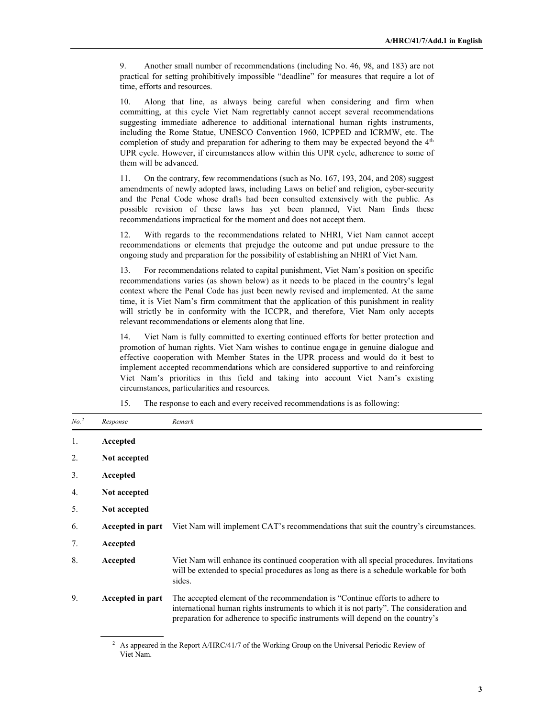9. Another small number of recommendations (including No. 46, 98, and 183) are not practical for setting prohibitively impossible "deadline" for measures that require a lot of time, efforts and resources.

10. Along that line, as always being careful when considering and firm when committing, at this cycle Viet Nam regrettably cannot accept several recommendations suggesting immediate adherence to additional international human rights instruments, including the Rome Statue, UNESCO Convention 1960, ICPPED and ICRMW, etc. The completion of study and preparation for adhering to them may be expected beyond the  $4<sup>th</sup>$ UPR cycle. However, if circumstances allow within this UPR cycle, adherence to some of them will be advanced.

11. On the contrary, few recommendations (such as No. 167, 193, 204, and 208) suggest amendments of newly adopted laws, including Laws on belief and religion, cyber-security and the Penal Code whose drafts had been consulted extensively with the public. As possible revision of these laws has yet been planned, Viet Nam finds these recommendations impractical for the moment and does not accept them.

12. With regards to the recommendations related to NHRI, Viet Nam cannot accept recommendations or elements that prejudge the outcome and put undue pressure to the ongoing study and preparation for the possibility of establishing an NHRI of Viet Nam.

13. For recommendations related to capital punishment, Viet Nam's position on specific recommendations varies (as shown below) as it needs to be placed in the country's legal context where the Penal Code has just been newly revised and implemented. At the same time, it is Viet Nam's firm commitment that the application of this punishment in reality will strictly be in conformity with the ICCPR, and therefore, Viet Nam only accepts relevant recommendations or elements along that line.

14. Viet Nam is fully committed to exerting continued efforts for better protection and promotion of human rights. Viet Nam wishes to continue engage in genuine dialogue and effective cooperation with Member States in the UPR process and would do it best to implement accepted recommendations which are considered supportive to and reinforcing Viet Nam's priorities in this field and taking into account Viet Nam's existing circumstances, particularities and resources.

| No. <sup>2</sup> | Response         | Remark                                                                                                                                                                                                                                                    |
|------------------|------------------|-----------------------------------------------------------------------------------------------------------------------------------------------------------------------------------------------------------------------------------------------------------|
| 1.               | Accepted         |                                                                                                                                                                                                                                                           |
| 2.               | Not accepted     |                                                                                                                                                                                                                                                           |
| 3.               | Accepted         |                                                                                                                                                                                                                                                           |
| 4.               | Not accepted     |                                                                                                                                                                                                                                                           |
| 5.               | Not accepted     |                                                                                                                                                                                                                                                           |
| 6.               | Accepted in part | Viet Nam will implement CAT's recommendations that suit the country's circumstances.                                                                                                                                                                      |
| 7.               | Accepted         |                                                                                                                                                                                                                                                           |
| 8.               | Accepted         | Viet Nam will enhance its continued cooperation with all special procedures. Invitations<br>will be extended to special procedures as long as there is a schedule workable for both<br>sides.                                                             |
| 9.               | Accepted in part | The accepted element of the recommendation is "Continue efforts to adhere to<br>international human rights instruments to which it is not party". The consideration and<br>preparation for adherence to specific instruments will depend on the country's |

15. The response to each and every received recommendations is as following:

<sup>&</sup>lt;sup>2</sup> As appeared in the Report A/HRC/41/7 of the Working Group on the Universal Periodic Review of Viet Nam.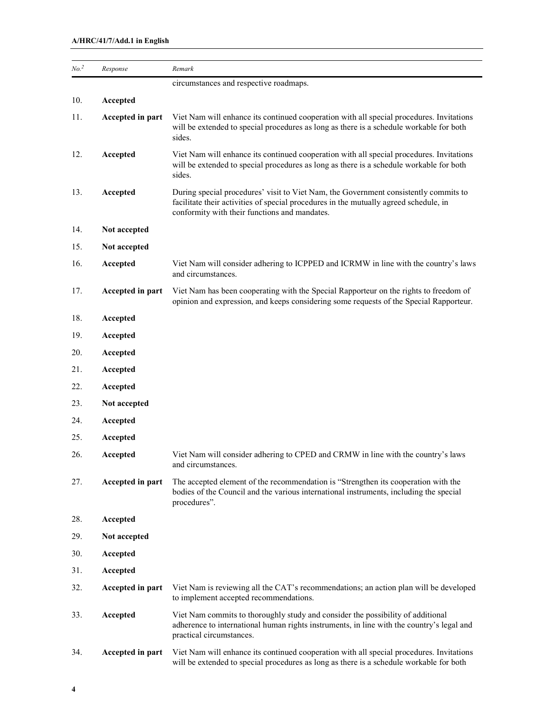| No. <sup>2</sup> | Response         | Remark                                                                                                                                                                                                                         |
|------------------|------------------|--------------------------------------------------------------------------------------------------------------------------------------------------------------------------------------------------------------------------------|
|                  |                  | circumstances and respective roadmaps.                                                                                                                                                                                         |
| 10.              | Accepted         |                                                                                                                                                                                                                                |
| 11.              | Accepted in part | Viet Nam will enhance its continued cooperation with all special procedures. Invitations<br>will be extended to special procedures as long as there is a schedule workable for both<br>sides.                                  |
| 12.              | Accepted         | Viet Nam will enhance its continued cooperation with all special procedures. Invitations<br>will be extended to special procedures as long as there is a schedule workable for both<br>sides.                                  |
| 13.              | Accepted         | During special procedures' visit to Viet Nam, the Government consistently commits to<br>facilitate their activities of special procedures in the mutually agreed schedule, in<br>conformity with their functions and mandates. |
| 14.              | Not accepted     |                                                                                                                                                                                                                                |
| 15.              | Not accepted     |                                                                                                                                                                                                                                |
| 16.              | Accepted         | Viet Nam will consider adhering to ICPPED and ICRMW in line with the country's laws<br>and circumstances.                                                                                                                      |
| 17.              | Accepted in part | Viet Nam has been cooperating with the Special Rapporteur on the rights to freedom of<br>opinion and expression, and keeps considering some requests of the Special Rapporteur.                                                |
| 18.              | Accepted         |                                                                                                                                                                                                                                |
| 19.              | Accepted         |                                                                                                                                                                                                                                |
| 20.              | Accepted         |                                                                                                                                                                                                                                |
| 21.              | Accepted         |                                                                                                                                                                                                                                |
| 22.              | Accepted         |                                                                                                                                                                                                                                |
| 23.              | Not accepted     |                                                                                                                                                                                                                                |
| 24.              | Accepted         |                                                                                                                                                                                                                                |
| 25.              | Accepted         |                                                                                                                                                                                                                                |
| 26.              | Accepted         | Viet Nam will consider adhering to CPED and CRMW in line with the country's laws<br>and circumstances.                                                                                                                         |
| 27.              | Accepted in part | The accepted element of the recommendation is "Strengthen its cooperation with the<br>bodies of the Council and the various international instruments, including the special<br>procedures".                                   |
| 28.              | Accepted         |                                                                                                                                                                                                                                |
| 29.              | Not accepted     |                                                                                                                                                                                                                                |
| 30.              | Accepted         |                                                                                                                                                                                                                                |
| 31.              | Accepted         |                                                                                                                                                                                                                                |
| 32.              | Accepted in part | Viet Nam is reviewing all the CAT's recommendations; an action plan will be developed<br>to implement accepted recommendations.                                                                                                |
| 33.              | Accepted         | Viet Nam commits to thoroughly study and consider the possibility of additional<br>adherence to international human rights instruments, in line with the country's legal and<br>practical circumstances.                       |
| 34.              | Accepted in part | Viet Nam will enhance its continued cooperation with all special procedures. Invitations<br>will be extended to special procedures as long as there is a schedule workable for both                                            |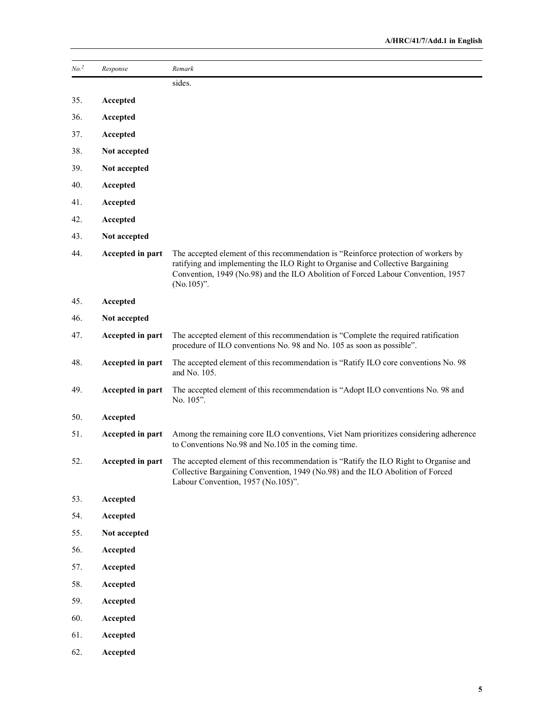| No. <sup>2</sup> | Response         | Remark                                                                                                                                                                                                                                                                    |
|------------------|------------------|---------------------------------------------------------------------------------------------------------------------------------------------------------------------------------------------------------------------------------------------------------------------------|
|                  |                  | sides.                                                                                                                                                                                                                                                                    |
| 35.              | Accepted         |                                                                                                                                                                                                                                                                           |
| 36.              | Accepted         |                                                                                                                                                                                                                                                                           |
| 37.              | Accepted         |                                                                                                                                                                                                                                                                           |
| 38.              | Not accepted     |                                                                                                                                                                                                                                                                           |
| 39.              | Not accepted     |                                                                                                                                                                                                                                                                           |
| 40.              | Accepted         |                                                                                                                                                                                                                                                                           |
| 41.              | Accepted         |                                                                                                                                                                                                                                                                           |
| 42.              | Accepted         |                                                                                                                                                                                                                                                                           |
| 43.              | Not accepted     |                                                                                                                                                                                                                                                                           |
| 44.              | Accepted in part | The accepted element of this recommendation is "Reinforce protection of workers by<br>ratifying and implementing the ILO Right to Organise and Collective Bargaining<br>Convention, 1949 (No.98) and the ILO Abolition of Forced Labour Convention, 1957<br>$(No.105)$ ". |
| 45.              | Accepted         |                                                                                                                                                                                                                                                                           |
| 46.              | Not accepted     |                                                                                                                                                                                                                                                                           |
| 47.              | Accepted in part | The accepted element of this recommendation is "Complete the required ratification<br>procedure of ILO conventions No. 98 and No. 105 as soon as possible".                                                                                                               |
| 48.              | Accepted in part | The accepted element of this recommendation is "Ratify ILO core conventions No. 98<br>and No. 105.                                                                                                                                                                        |
| 49.              | Accepted in part | The accepted element of this recommendation is "Adopt ILO conventions No. 98 and<br>No. 105".                                                                                                                                                                             |
| 50.              | Accepted         |                                                                                                                                                                                                                                                                           |
| 51.              | Accepted in part | Among the remaining core ILO conventions, Viet Nam prioritizes considering adherence<br>to Conventions No.98 and No.105 in the coming time.                                                                                                                               |
| 52.              | Accepted in part | The accepted element of this recommendation is "Ratify the ILO Right to Organise and<br>Collective Bargaining Convention, 1949 (No.98) and the ILO Abolition of Forced<br>Labour Convention, 1957 (No.105)".                                                              |
| 53.              | Accepted         |                                                                                                                                                                                                                                                                           |
| 54.              | Accepted         |                                                                                                                                                                                                                                                                           |
| 55.              | Not accepted     |                                                                                                                                                                                                                                                                           |
| 56.              | Accepted         |                                                                                                                                                                                                                                                                           |
| 57.              | Accepted         |                                                                                                                                                                                                                                                                           |
| 58.              | Accepted         |                                                                                                                                                                                                                                                                           |
| 59.              | Accepted         |                                                                                                                                                                                                                                                                           |
| 60.              | Accepted         |                                                                                                                                                                                                                                                                           |
| 61.              | Accepted         |                                                                                                                                                                                                                                                                           |
| 62.              | Accepted         |                                                                                                                                                                                                                                                                           |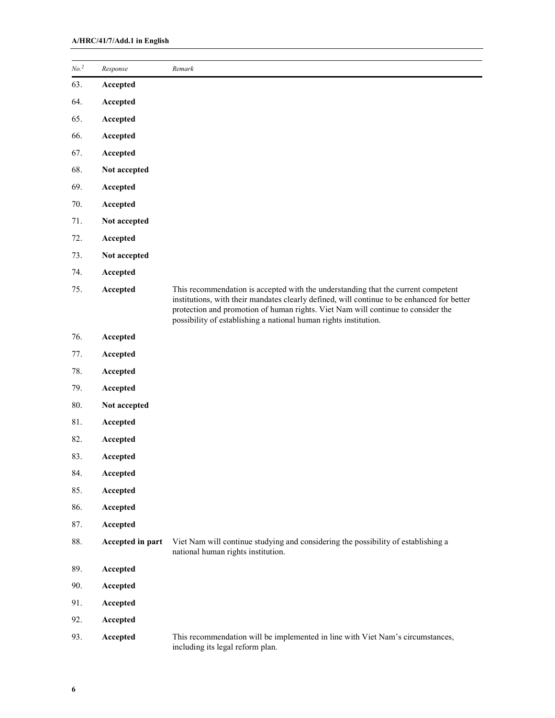| No. <sup>2</sup> | Response         | Remark                                                                                                                                                                                                                                                                                                                                  |
|------------------|------------------|-----------------------------------------------------------------------------------------------------------------------------------------------------------------------------------------------------------------------------------------------------------------------------------------------------------------------------------------|
| 63.              | Accepted         |                                                                                                                                                                                                                                                                                                                                         |
| 64.              | Accepted         |                                                                                                                                                                                                                                                                                                                                         |
| 65.              | Accepted         |                                                                                                                                                                                                                                                                                                                                         |
| 66.              | Accepted         |                                                                                                                                                                                                                                                                                                                                         |
| 67.              | Accepted         |                                                                                                                                                                                                                                                                                                                                         |
| 68.              | Not accepted     |                                                                                                                                                                                                                                                                                                                                         |
| 69.              | Accepted         |                                                                                                                                                                                                                                                                                                                                         |
| 70.              | Accepted         |                                                                                                                                                                                                                                                                                                                                         |
| 71.              | Not accepted     |                                                                                                                                                                                                                                                                                                                                         |
| 72.              | Accepted         |                                                                                                                                                                                                                                                                                                                                         |
| 73.              | Not accepted     |                                                                                                                                                                                                                                                                                                                                         |
| 74.              | Accepted         |                                                                                                                                                                                                                                                                                                                                         |
| 75.              | Accepted         | This recommendation is accepted with the understanding that the current competent<br>institutions, with their mandates clearly defined, will continue to be enhanced for better<br>protection and promotion of human rights. Viet Nam will continue to consider the<br>possibility of establishing a national human rights institution. |
| 76.              | Accepted         |                                                                                                                                                                                                                                                                                                                                         |
| 77.              | Accepted         |                                                                                                                                                                                                                                                                                                                                         |
| 78.              | Accepted         |                                                                                                                                                                                                                                                                                                                                         |
| 79.              | Accepted         |                                                                                                                                                                                                                                                                                                                                         |
| 80.              | Not accepted     |                                                                                                                                                                                                                                                                                                                                         |
| 81.              | Accepted         |                                                                                                                                                                                                                                                                                                                                         |
| 82.              | Accepted         |                                                                                                                                                                                                                                                                                                                                         |
| 83.              | Accepted         |                                                                                                                                                                                                                                                                                                                                         |
| 84.              | Accepted         |                                                                                                                                                                                                                                                                                                                                         |
| 85.              | Accepted         |                                                                                                                                                                                                                                                                                                                                         |
| 86.              | Accepted         |                                                                                                                                                                                                                                                                                                                                         |
| 87.              | Accepted         |                                                                                                                                                                                                                                                                                                                                         |
| 88.              | Accepted in part | Viet Nam will continue studying and considering the possibility of establishing a<br>national human rights institution.                                                                                                                                                                                                                 |
| 89.              | Accepted         |                                                                                                                                                                                                                                                                                                                                         |
| 90.              | Accepted         |                                                                                                                                                                                                                                                                                                                                         |
| 91.              | Accepted         |                                                                                                                                                                                                                                                                                                                                         |
| 92.              | Accepted         |                                                                                                                                                                                                                                                                                                                                         |
| 93.              | Accepted         | This recommendation will be implemented in line with Viet Nam's circumstances,<br>including its legal reform plan.                                                                                                                                                                                                                      |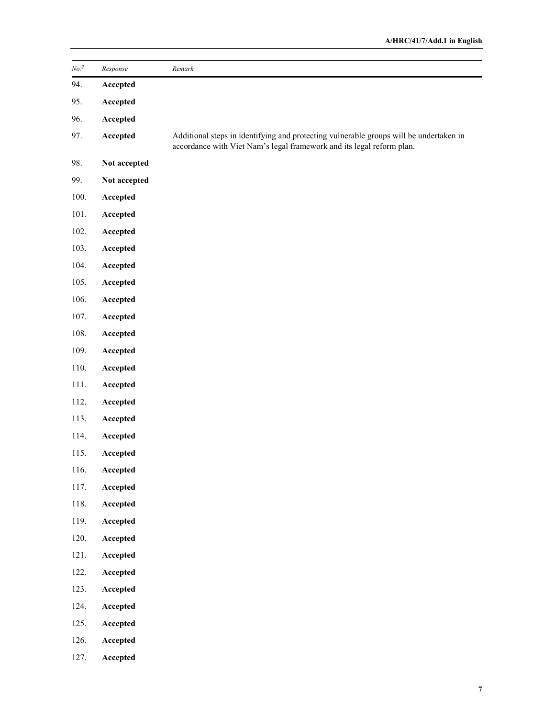| No. <sup>2</sup> | Response     | Remark                                                                                                                                                          |
|------------------|--------------|-----------------------------------------------------------------------------------------------------------------------------------------------------------------|
| 94.              | Accepted     |                                                                                                                                                                 |
| 95.              | Accepted     |                                                                                                                                                                 |
| 96.              | Accepted     |                                                                                                                                                                 |
|                  |              |                                                                                                                                                                 |
| 97.              | Accepted     | Additional steps in identifying and protecting vulnerable groups will be undertaken in<br>accordance with Viet Nam's legal framework and its legal reform plan. |
| 98.              | Not accepted |                                                                                                                                                                 |
| 99.              | Not accepted |                                                                                                                                                                 |
| 100.             | Accepted     |                                                                                                                                                                 |
| 101.             | Accepted     |                                                                                                                                                                 |
| 102.             | Accepted     |                                                                                                                                                                 |
| 103.             | Accepted     |                                                                                                                                                                 |
| 104.             | Accepted     |                                                                                                                                                                 |
| 105.             | Accepted     |                                                                                                                                                                 |
| 106.             | Accepted     |                                                                                                                                                                 |
| 107.             | Accepted     |                                                                                                                                                                 |
| 108.             | Accepted     |                                                                                                                                                                 |
| 109.             | Accepted     |                                                                                                                                                                 |
| 110.             | Accepted     |                                                                                                                                                                 |
| 111.             | Accepted     |                                                                                                                                                                 |
| 112.             | Accepted     |                                                                                                                                                                 |
| 113.             | Accepted     |                                                                                                                                                                 |
| 114.             | Accepted     |                                                                                                                                                                 |
| 115.             | Accepted     |                                                                                                                                                                 |
| 116.             | Accepted     |                                                                                                                                                                 |
| 117.             | Accepted     |                                                                                                                                                                 |
| 118.             | Accepted     |                                                                                                                                                                 |
| 119.             | Accepted     |                                                                                                                                                                 |
| 120.             | Accepted     |                                                                                                                                                                 |
| 121.             | Accepted     |                                                                                                                                                                 |
| 122.             | Accepted     |                                                                                                                                                                 |
| 123.             | Accepted     |                                                                                                                                                                 |
| 124.             | Accepted     |                                                                                                                                                                 |
| 125.             | Accepted     |                                                                                                                                                                 |
| 126.             | Accepted     |                                                                                                                                                                 |
| 127.             | Accepted     |                                                                                                                                                                 |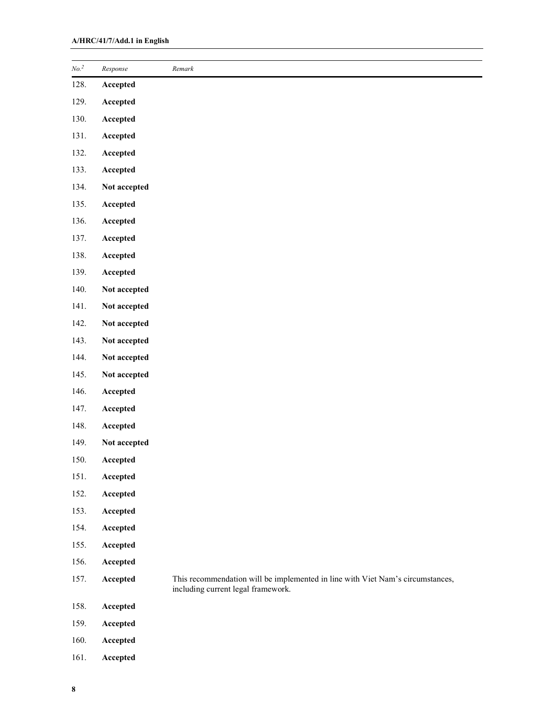| No. <sup>2</sup> | Response     | Remark                                                                                                               |
|------------------|--------------|----------------------------------------------------------------------------------------------------------------------|
| 128.             | Accepted     |                                                                                                                      |
| 129.             | Accepted     |                                                                                                                      |
| 130.             | Accepted     |                                                                                                                      |
| 131.             | Accepted     |                                                                                                                      |
| 132.             | Accepted     |                                                                                                                      |
| 133.             | Accepted     |                                                                                                                      |
| 134.             | Not accepted |                                                                                                                      |
| 135.             | Accepted     |                                                                                                                      |
| 136.             | Accepted     |                                                                                                                      |
| 137.             | Accepted     |                                                                                                                      |
| 138.             | Accepted     |                                                                                                                      |
| 139.             | Accepted     |                                                                                                                      |
| 140.             | Not accepted |                                                                                                                      |
| 141.             | Not accepted |                                                                                                                      |
| 142.             | Not accepted |                                                                                                                      |
| 143.             | Not accepted |                                                                                                                      |
| 144.             | Not accepted |                                                                                                                      |
| 145.             | Not accepted |                                                                                                                      |
| 146.             | Accepted     |                                                                                                                      |
| 147.             | Accepted     |                                                                                                                      |
| 148.             | Accepted     |                                                                                                                      |
| 149.             | Not accepted |                                                                                                                      |
| 150.             | Accepted     |                                                                                                                      |
| 151.             | Accepted     |                                                                                                                      |
| 152.             | Accepted     |                                                                                                                      |
| 153.             | Accepted     |                                                                                                                      |
| 154.             | Accepted     |                                                                                                                      |
| 155.             | Accepted     |                                                                                                                      |
| 156.             | Accepted     |                                                                                                                      |
| 157.             | Accepted     | This recommendation will be implemented in line with Viet Nam's circumstances,<br>including current legal framework. |
| 158.             | Accepted     |                                                                                                                      |
| 159.             | Accepted     |                                                                                                                      |
| 160.             | Accepted     |                                                                                                                      |

161. Accepted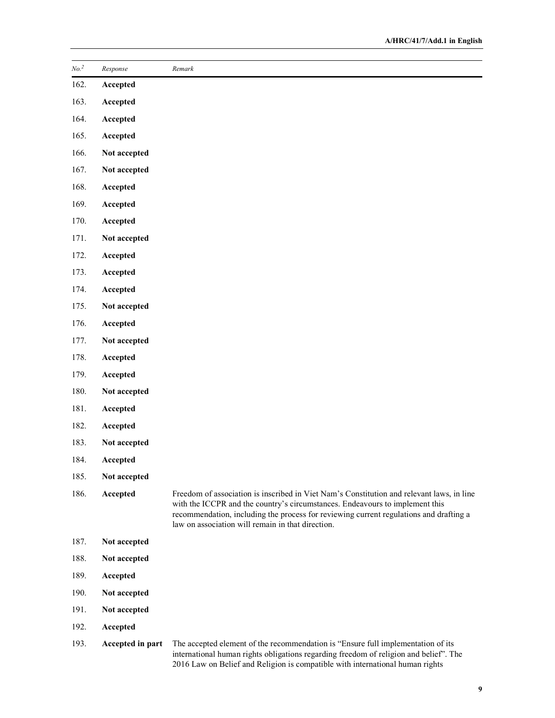| No. <sup>2</sup> | Response         | Remark                                                                                                                                                                                                                                                                                                                   |
|------------------|------------------|--------------------------------------------------------------------------------------------------------------------------------------------------------------------------------------------------------------------------------------------------------------------------------------------------------------------------|
| 162.             | Accepted         |                                                                                                                                                                                                                                                                                                                          |
| 163.             | Accepted         |                                                                                                                                                                                                                                                                                                                          |
| 164.             | Accepted         |                                                                                                                                                                                                                                                                                                                          |
| 165.             | Accepted         |                                                                                                                                                                                                                                                                                                                          |
| 166.             | Not accepted     |                                                                                                                                                                                                                                                                                                                          |
| 167.             | Not accepted     |                                                                                                                                                                                                                                                                                                                          |
| 168.             | Accepted         |                                                                                                                                                                                                                                                                                                                          |
| 169.             | Accepted         |                                                                                                                                                                                                                                                                                                                          |
| 170.             | Accepted         |                                                                                                                                                                                                                                                                                                                          |
| 171.             | Not accepted     |                                                                                                                                                                                                                                                                                                                          |
| 172.             | Accepted         |                                                                                                                                                                                                                                                                                                                          |
| 173.             | Accepted         |                                                                                                                                                                                                                                                                                                                          |
| 174.             | Accepted         |                                                                                                                                                                                                                                                                                                                          |
| 175.             | Not accepted     |                                                                                                                                                                                                                                                                                                                          |
| 176.             | Accepted         |                                                                                                                                                                                                                                                                                                                          |
| 177.             | Not accepted     |                                                                                                                                                                                                                                                                                                                          |
| 178.             | Accepted         |                                                                                                                                                                                                                                                                                                                          |
| 179.             | Accepted         |                                                                                                                                                                                                                                                                                                                          |
| 180.             | Not accepted     |                                                                                                                                                                                                                                                                                                                          |
| 181.             | Accepted         |                                                                                                                                                                                                                                                                                                                          |
| 182.             | Accepted         |                                                                                                                                                                                                                                                                                                                          |
| 183.             | Not accepted     |                                                                                                                                                                                                                                                                                                                          |
| 184.             | Accepted         |                                                                                                                                                                                                                                                                                                                          |
| 185.             | Not accepted     |                                                                                                                                                                                                                                                                                                                          |
| 186.             | Accepted         | Freedom of association is inscribed in Viet Nam's Constitution and relevant laws, in line<br>with the ICCPR and the country's circumstances. Endeavours to implement this<br>recommendation, including the process for reviewing current regulations and drafting a<br>law on association will remain in that direction. |
| 187.             | Not accepted     |                                                                                                                                                                                                                                                                                                                          |
| 188.             | Not accepted     |                                                                                                                                                                                                                                                                                                                          |
| 189.             | Accepted         |                                                                                                                                                                                                                                                                                                                          |
| 190.             | Not accepted     |                                                                                                                                                                                                                                                                                                                          |
| 191.             | Not accepted     |                                                                                                                                                                                                                                                                                                                          |
| 192.             | Accepted         |                                                                                                                                                                                                                                                                                                                          |
| 193.             | Accepted in part | The accepted element of the recommendation is "Ensure full implementation of its<br>international human rights obligations regarding freedom of religion and belief". The                                                                                                                                                |

2016 Law on Belief and Religion is compatible with international human rights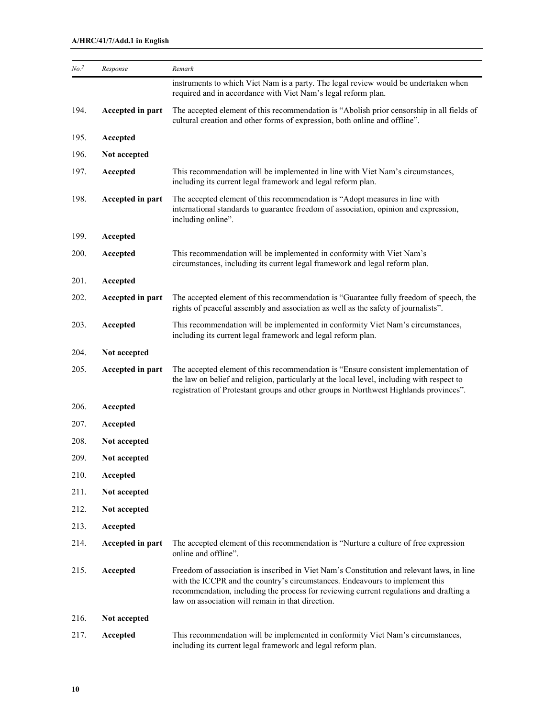| No. <sup>2</sup> | Response         | Remark                                                                                                                                                                                                                                                                                                                   |
|------------------|------------------|--------------------------------------------------------------------------------------------------------------------------------------------------------------------------------------------------------------------------------------------------------------------------------------------------------------------------|
|                  |                  | instruments to which Viet Nam is a party. The legal review would be undertaken when<br>required and in accordance with Viet Nam's legal reform plan.                                                                                                                                                                     |
| 194.             | Accepted in part | The accepted element of this recommendation is "Abolish prior censorship in all fields of<br>cultural creation and other forms of expression, both online and offline".                                                                                                                                                  |
| 195.             | Accepted         |                                                                                                                                                                                                                                                                                                                          |
| 196.             | Not accepted     |                                                                                                                                                                                                                                                                                                                          |
| 197.             | Accepted         | This recommendation will be implemented in line with Viet Nam's circumstances,<br>including its current legal framework and legal reform plan.                                                                                                                                                                           |
| 198.             | Accepted in part | The accepted element of this recommendation is "Adopt measures in line with<br>international standards to guarantee freedom of association, opinion and expression,<br>including online".                                                                                                                                |
| 199.             | Accepted         |                                                                                                                                                                                                                                                                                                                          |
| 200.             | Accepted         | This recommendation will be implemented in conformity with Viet Nam's<br>circumstances, including its current legal framework and legal reform plan.                                                                                                                                                                     |
| 201.             | Accepted         |                                                                                                                                                                                                                                                                                                                          |
| 202.             | Accepted in part | The accepted element of this recommendation is "Guarantee fully freedom of speech, the<br>rights of peaceful assembly and association as well as the safety of journalists".                                                                                                                                             |
| 203.             | Accepted         | This recommendation will be implemented in conformity Viet Nam's circumstances,<br>including its current legal framework and legal reform plan.                                                                                                                                                                          |
| 204.             | Not accepted     |                                                                                                                                                                                                                                                                                                                          |
| 205.             | Accepted in part | The accepted element of this recommendation is "Ensure consistent implementation of<br>the law on belief and religion, particularly at the local level, including with respect to<br>registration of Protestant groups and other groups in Northwest Highlands provinces".                                               |
| 206.             | Accepted         |                                                                                                                                                                                                                                                                                                                          |
| 207.             | Accepted         |                                                                                                                                                                                                                                                                                                                          |
| 208.             | Not accepted     |                                                                                                                                                                                                                                                                                                                          |
| 209.             | Not accepted     |                                                                                                                                                                                                                                                                                                                          |
| 210.             | Accepted         |                                                                                                                                                                                                                                                                                                                          |
| 211.             | Not accepted     |                                                                                                                                                                                                                                                                                                                          |
| 212.             | Not accepted     |                                                                                                                                                                                                                                                                                                                          |
| 213.             | Accepted         |                                                                                                                                                                                                                                                                                                                          |
| 214.             | Accepted in part | The accepted element of this recommendation is "Nurture a culture of free expression<br>online and offline".                                                                                                                                                                                                             |
| 215.             | Accepted         | Freedom of association is inscribed in Viet Nam's Constitution and relevant laws, in line<br>with the ICCPR and the country's circumstances. Endeavours to implement this<br>recommendation, including the process for reviewing current regulations and drafting a<br>law on association will remain in that direction. |
| 216.             | Not accepted     |                                                                                                                                                                                                                                                                                                                          |
| 217.             | Accepted         | This recommendation will be implemented in conformity Viet Nam's circumstances,<br>including its current legal framework and legal reform plan.                                                                                                                                                                          |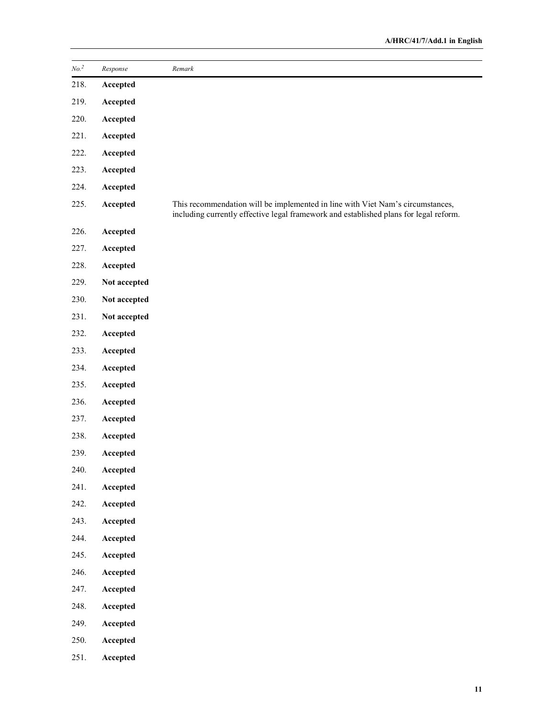| $\mathit{No.}^2$ | Response     | Remark                                                                                                                                                                  |
|------------------|--------------|-------------------------------------------------------------------------------------------------------------------------------------------------------------------------|
| 218.             | Accepted     |                                                                                                                                                                         |
| 219.             | Accepted     |                                                                                                                                                                         |
| 220.             | Accepted     |                                                                                                                                                                         |
| 221.             | Accepted     |                                                                                                                                                                         |
| 222.             | Accepted     |                                                                                                                                                                         |
| 223.             | Accepted     |                                                                                                                                                                         |
| 224.             | Accepted     |                                                                                                                                                                         |
| 225.             | Accepted     | This recommendation will be implemented in line with Viet Nam's circumstances,<br>including currently effective legal framework and established plans for legal reform. |
| 226.             | Accepted     |                                                                                                                                                                         |
| 227.             | Accepted     |                                                                                                                                                                         |
| 228.             | Accepted     |                                                                                                                                                                         |
| 229.             | Not accepted |                                                                                                                                                                         |
| 230.             | Not accepted |                                                                                                                                                                         |
| 231.             | Not accepted |                                                                                                                                                                         |
| 232.             | Accepted     |                                                                                                                                                                         |
| 233.             | Accepted     |                                                                                                                                                                         |
| 234.             | Accepted     |                                                                                                                                                                         |
| 235.             | Accepted     |                                                                                                                                                                         |
| 236.             | Accepted     |                                                                                                                                                                         |
| 237.             | Accepted     |                                                                                                                                                                         |
| 238.             | Accepted     |                                                                                                                                                                         |
| 239.             | Accepted     |                                                                                                                                                                         |
| 240.             | Accepted     |                                                                                                                                                                         |
| 241.             | Accepted     |                                                                                                                                                                         |
| 242.             | Accepted     |                                                                                                                                                                         |
| 243.             | Accepted     |                                                                                                                                                                         |
| 244.             | Accepted     |                                                                                                                                                                         |
| 245.             | Accepted     |                                                                                                                                                                         |
| 246.             | Accepted     |                                                                                                                                                                         |
| 247.             | Accepted     |                                                                                                                                                                         |
| 248.             | Accepted     |                                                                                                                                                                         |
| 249.             | Accepted     |                                                                                                                                                                         |
| 250.             | Accepted     |                                                                                                                                                                         |
| 251.             | Accepted     |                                                                                                                                                                         |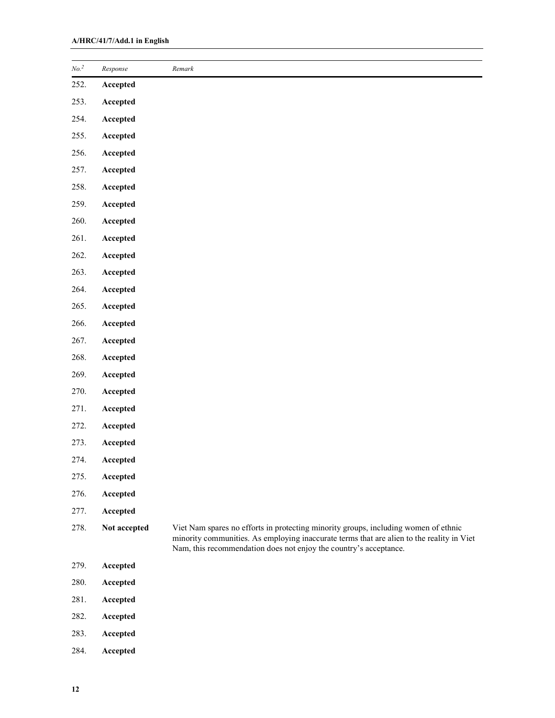| No. <sup>2</sup> | Response     | Remark                                                                                                                                                                                                                                                |
|------------------|--------------|-------------------------------------------------------------------------------------------------------------------------------------------------------------------------------------------------------------------------------------------------------|
| 252.             | Accepted     |                                                                                                                                                                                                                                                       |
| 253.             | Accepted     |                                                                                                                                                                                                                                                       |
| 254.             | Accepted     |                                                                                                                                                                                                                                                       |
| 255.             | Accepted     |                                                                                                                                                                                                                                                       |
| 256.             | Accepted     |                                                                                                                                                                                                                                                       |
| 257.             | Accepted     |                                                                                                                                                                                                                                                       |
| 258.             | Accepted     |                                                                                                                                                                                                                                                       |
| 259.             | Accepted     |                                                                                                                                                                                                                                                       |
| 260.             | Accepted     |                                                                                                                                                                                                                                                       |
| 261.             | Accepted     |                                                                                                                                                                                                                                                       |
| 262.             | Accepted     |                                                                                                                                                                                                                                                       |
| 263.             | Accepted     |                                                                                                                                                                                                                                                       |
| 264.             | Accepted     |                                                                                                                                                                                                                                                       |
| 265.             | Accepted     |                                                                                                                                                                                                                                                       |
| 266.             | Accepted     |                                                                                                                                                                                                                                                       |
| 267.             | Accepted     |                                                                                                                                                                                                                                                       |
| 268.             | Accepted     |                                                                                                                                                                                                                                                       |
| 269.             | Accepted     |                                                                                                                                                                                                                                                       |
| 270.             | Accepted     |                                                                                                                                                                                                                                                       |
| 271.             | Accepted     |                                                                                                                                                                                                                                                       |
| 272.             | Accepted     |                                                                                                                                                                                                                                                       |
| 273.             | Accepted     |                                                                                                                                                                                                                                                       |
| 274.             | Accepted     |                                                                                                                                                                                                                                                       |
| 275.             | Accepted     |                                                                                                                                                                                                                                                       |
| 276.             | Accepted     |                                                                                                                                                                                                                                                       |
| 277.             | Accepted     |                                                                                                                                                                                                                                                       |
| 278.             | Not accepted | Viet Nam spares no efforts in protecting minority groups, including women of ethnic<br>minority communities. As employing inaccurate terms that are alien to the reality in Viet<br>Nam, this recommendation does not enjoy the country's acceptance. |
| 279.             | Accepted     |                                                                                                                                                                                                                                                       |
| 280.             | Accepted     |                                                                                                                                                                                                                                                       |
| 281.             | Accepted     |                                                                                                                                                                                                                                                       |
| 282.             | Accepted     |                                                                                                                                                                                                                                                       |
| 283.             | Accepted     |                                                                                                                                                                                                                                                       |

284. Accepted